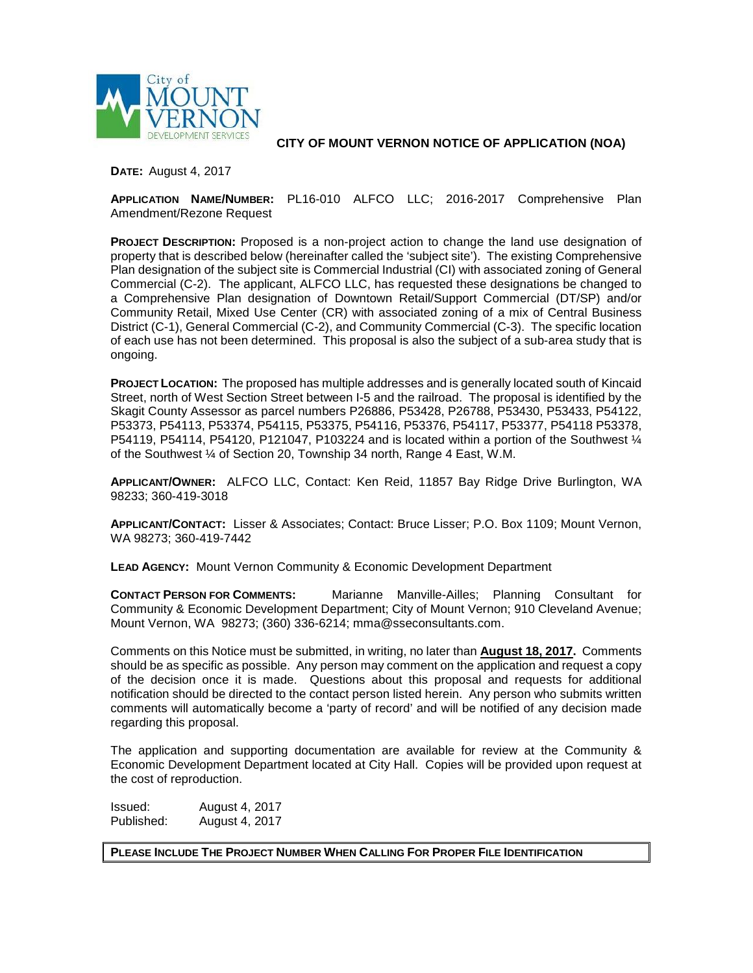

**CITY OF MOUNT VERNON NOTICE OF APPLICATION (NOA)**

**DATE:** August 4, 2017

**APPLICATION NAME/NUMBER:** PL16-010 ALFCO LLC; 2016-2017 Comprehensive Plan Amendment/Rezone Request

**PROJECT DESCRIPTION:** Proposed is a non-project action to change the land use designation of property that is described below (hereinafter called the 'subject site'). The existing Comprehensive Plan designation of the subject site is Commercial Industrial (CI) with associated zoning of General Commercial (C-2). The applicant, ALFCO LLC, has requested these designations be changed to a Comprehensive Plan designation of Downtown Retail/Support Commercial (DT/SP) and/or Community Retail, Mixed Use Center (CR) with associated zoning of a mix of Central Business District (C-1), General Commercial (C-2), and Community Commercial (C-3). The specific location of each use has not been determined. This proposal is also the subject of a sub-area study that is ongoing.

**PROJECT LOCATION:** The proposed has multiple addresses and is generally located south of Kincaid Street, north of West Section Street between I-5 and the railroad. The proposal is identified by the Skagit County Assessor as parcel numbers P26886, P53428, P26788, P53430, P53433, P54122, P53373, P54113, P53374, P54115, P53375, P54116, P53376, P54117, P53377, P54118 P53378, P54119, P54114, P54120, P121047, P103224 and is located within a portion of the Southwest 1/4 of the Southwest ¼ of Section 20, Township 34 north, Range 4 East, W.M.

**APPLICANT/OWNER:** ALFCO LLC, Contact: Ken Reid, 11857 Bay Ridge Drive Burlington, WA 98233; 360-419-3018

**APPLICANT/CONTACT:** Lisser & Associates; Contact: Bruce Lisser; P.O. Box 1109; Mount Vernon, WA 98273; 360-419-7442

**LEAD AGENCY:** Mount Vernon Community & Economic Development Department

**CONTACT PERSON FOR COMMENTS:** Marianne Manville-Ailles; Planning Consultant for Community & Economic Development Department; City of Mount Vernon; 910 Cleveland Avenue; Mount Vernon, WA 98273; (360) 336-6214; mma@sseconsultants.com.

Comments on this Notice must be submitted, in writing, no later than **August 18, 2017.** Comments should be as specific as possible. Any person may comment on the application and request a copy of the decision once it is made. Questions about this proposal and requests for additional notification should be directed to the contact person listed herein. Any person who submits written comments will automatically become a 'party of record' and will be notified of any decision made regarding this proposal.

The application and supporting documentation are available for review at the Community & Economic Development Department located at City Hall. Copies will be provided upon request at the cost of reproduction.

Issued: August 4, 2017 Published: August 4, 2017

**PLEASE INCLUDE THE PROJECT NUMBER WHEN CALLING FOR PROPER FILE IDENTIFICATION**